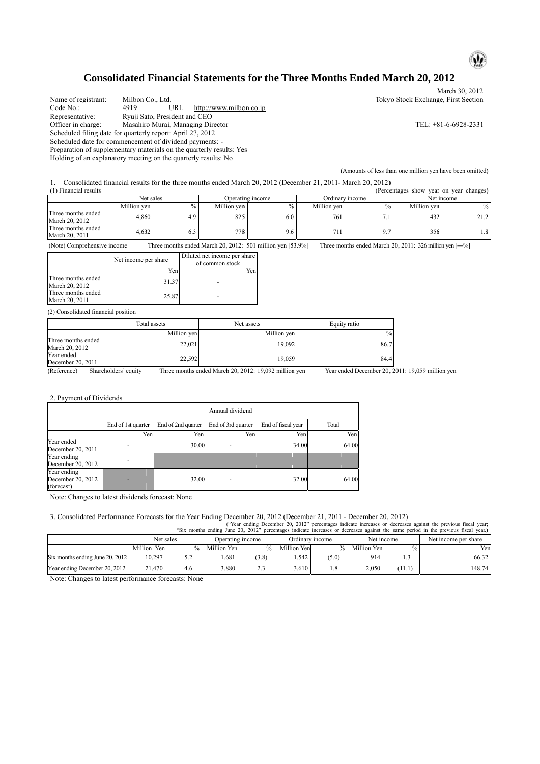

### Consolidated Financial Statements for the Three Months Ended March 20, 2012

Name of registrant: Code No.: Representative: Officer in charge: Scheduled filing date for quarterly report: April 27, 2012 Scheduled date for commencement of dividend payments: -Preparation of supplementary materials on the quarterly results: Yes Holding of an explanatory meeting on the quarterly results: No ant: Milbon C Co., Ltd. 4919 Ryuji Sato, President and CEO e: Masahiro Murai, Managing Director u.<br>URL http://www.milbon.co.jp

Tokyo Stock Exchange, First Section

TEL: +8 81-6-6928-2331

M March 30, 2012

( (Amounts of less th han one million yen have been omitted)

|                                                                                                                                       |                    |                      |           |                           |                                                            |                  |               |                    |       |                 |             |                                                            |             | (Amounts of less than one million yen have been omitted)                                                                                                                                                                                              |
|---------------------------------------------------------------------------------------------------------------------------------------|--------------------|----------------------|-----------|---------------------------|------------------------------------------------------------|------------------|---------------|--------------------|-------|-----------------|-------------|------------------------------------------------------------|-------------|-------------------------------------------------------------------------------------------------------------------------------------------------------------------------------------------------------------------------------------------------------|
| Consolidated financial results for the three months ended March 20, 2012 (December 21, 2011- March 20, 2012)<br>(1) Financial results |                    |                      |           |                           |                                                            |                  |               |                    |       |                 |             |                                                            |             | (Percentages show year on year changes)                                                                                                                                                                                                               |
|                                                                                                                                       |                    | Net sales            |           |                           |                                                            | Operating income |               |                    |       | Ordinary income |             |                                                            | Net income  |                                                                                                                                                                                                                                                       |
|                                                                                                                                       |                    | Million yen          |           | $\%$                      | Million yen                                                |                  |               | $\%$               |       | Million yen     |             | $\frac{0}{0}$                                              | Million yen | $\%$                                                                                                                                                                                                                                                  |
| Three months ended<br>March 20, 2012                                                                                                  |                    | 4,860                |           | 4.9                       |                                                            | 825              |               | 6.0                |       | 761             |             | 7.1                                                        | 432         | 21.2                                                                                                                                                                                                                                                  |
| Three months ended<br>March 20, 2011                                                                                                  |                    | 4,632                |           | 6.3                       |                                                            | 778              |               | 9.6                |       | 711             |             | 9.7                                                        | 356         | 1.8                                                                                                                                                                                                                                                   |
| (Note) Comprehensive income                                                                                                           |                    |                      |           |                           | Three months ended March 20, 2012: 501 million yen [53.9%] |                  |               |                    |       |                 |             | Three months ended March 20, 2011: 326 million yen $[-\%]$ |             |                                                                                                                                                                                                                                                       |
|                                                                                                                                       |                    | Net income per share |           |                           | Diluted net income per share<br>of common stock            |                  |               |                    |       |                 |             |                                                            |             |                                                                                                                                                                                                                                                       |
|                                                                                                                                       |                    |                      | Yen       |                           |                                                            | Yen              |               |                    |       |                 |             |                                                            |             |                                                                                                                                                                                                                                                       |
| Three months ended<br>March 20, 2012                                                                                                  |                    |                      | 31.37     |                           |                                                            |                  |               |                    |       |                 |             |                                                            |             |                                                                                                                                                                                                                                                       |
| Three months ended<br>March 20, 2011                                                                                                  |                    |                      | 25.87     |                           |                                                            |                  |               |                    |       |                 |             |                                                            |             |                                                                                                                                                                                                                                                       |
| (2) Consolidated financial position                                                                                                   |                    |                      |           |                           |                                                            |                  |               |                    |       |                 |             |                                                            |             |                                                                                                                                                                                                                                                       |
|                                                                                                                                       |                    | Total assets         |           |                           |                                                            | Net assets       |               |                    |       | Equity ratio    |             |                                                            |             |                                                                                                                                                                                                                                                       |
|                                                                                                                                       |                    |                      |           | Million yen               |                                                            |                  |               | Million yen        |       |                 |             | $\frac{0}{0}$                                              |             |                                                                                                                                                                                                                                                       |
| Three months ended<br>March 20, 2012<br>Year ended                                                                                    |                    |                      |           | 22,021                    |                                                            |                  |               | 19,092             |       |                 |             | 86.7                                                       |             |                                                                                                                                                                                                                                                       |
| December 20, 2011                                                                                                                     |                    |                      |           | 22,592                    |                                                            |                  |               | 19,059             |       |                 |             | 84.4                                                       |             |                                                                                                                                                                                                                                                       |
| 2. Payment of Dividends                                                                                                               |                    |                      |           |                           | Annual dividend                                            |                  |               |                    |       |                 |             | Year ended December 20, 2011: 19,059 million yen           |             |                                                                                                                                                                                                                                                       |
|                                                                                                                                       |                    |                      |           |                           |                                                            |                  |               |                    |       |                 |             |                                                            |             |                                                                                                                                                                                                                                                       |
|                                                                                                                                       | End of 1st quarter | Yen                  |           | End of 2nd quarter<br>Yen | End of 3rd quarter                                         | Yen              |               | End of fiscal year | Yen   | Total           | Yen         |                                                            |             |                                                                                                                                                                                                                                                       |
| Year ended                                                                                                                            |                    |                      |           | 30.00                     |                                                            |                  |               |                    | 34.00 |                 | 64.00       |                                                            |             |                                                                                                                                                                                                                                                       |
| December 20, 2011<br>Year ending<br>December 20, 2012                                                                                 |                    |                      |           |                           |                                                            |                  |               |                    |       |                 |             |                                                            |             |                                                                                                                                                                                                                                                       |
| Year ending<br>December 20, 2012<br>forecast)                                                                                         |                    |                      |           | 32.00                     |                                                            |                  |               |                    | 32.00 |                 | 64.00       |                                                            |             |                                                                                                                                                                                                                                                       |
| Note: Changes to latest dividends forecast: None                                                                                      |                    |                      |           |                           |                                                            |                  |               |                    |       |                 |             |                                                            |             |                                                                                                                                                                                                                                                       |
| 3. Consolidated Performance Forecasts for the Year Ending December 20, 2012 (December 21, 2011 - December 20, 2012)                   |                    |                      |           |                           |                                                            |                  |               |                    |       |                 |             |                                                            |             | ("Year ending December 20, 2012" percentages indicate increases or decreases against the previous fiscal year;<br>"Six months ending June 20, 2012" percentages indicate increases or decreases against the same period in the previous fiscal year.) |
|                                                                                                                                       |                    |                      | Net sales |                           | Operating income                                           |                  |               |                    |       | Ordinary income |             | Net income                                                 |             | Net income per share                                                                                                                                                                                                                                  |
|                                                                                                                                       |                    | Million Yen          |           | $\%$                      | Million Yen                                                |                  | $\frac{0}{0}$ | Million Yen        |       | $\%$            | Million Yen | $\frac{0}{0}$                                              |             | Yen                                                                                                                                                                                                                                                   |
| Six months ending June 20, 2012                                                                                                       |                    | 10,297               |           | 5.2                       | 1,681                                                      |                  | (3.8)         |                    | 1,542 | (5.0)           | 914         | 1.3                                                        |             | 66.32                                                                                                                                                                                                                                                 |
| Year ending December 20, 2012                                                                                                         |                    | 21,470               |           | 4.6                       | 3,880                                                      |                  | 2.3           |                    | 3,610 | 1.8             | 2,050       | (11.1)                                                     |             | 148.74                                                                                                                                                                                                                                                |

|                                      | Net income per share | Diluted net income per share<br>of common stock |
|--------------------------------------|----------------------|-------------------------------------------------|
|                                      | Yen                  | Yen                                             |
| Three months ended<br>March 20, 2012 | 31.37                |                                                 |
| Three months ended<br>March 20, 2011 | 25.87                |                                                 |

|                                      | Total assets         | Net assets                                            | Equity ratio              |
|--------------------------------------|----------------------|-------------------------------------------------------|---------------------------|
|                                      | Million yen          | Million yen                                           | %                         |
| Three months ended<br>March 20, 2012 | 22,021               | 19.092                                                | 86.7                      |
| Year ended<br>December 20, 2011      | 22.592               | 19.059                                                | 84.4                      |
| (Reference)                          | Shareholders' equity | Three months ended March 20, 2012: 19,092 million yen | Year ended December 20, 2 |

|                                                | Annual dividend    |                    |                    |                    |       |  |  |
|------------------------------------------------|--------------------|--------------------|--------------------|--------------------|-------|--|--|
|                                                | End of 1st quarter | End of 2nd quarter | End of 3rd quarter | End of fiscal year | Total |  |  |
|                                                | Yen                | Yen                | Yen                | Yen                | Yen   |  |  |
| Year ended<br>December 20, 2011                |                    | 30.00              |                    | 34.00              | 64.00 |  |  |
| Year ending<br>December 20, 2012               |                    |                    |                    |                    |       |  |  |
| Year ending<br>December 20, 2012<br>(forecast) |                    | 32.00              |                    | 32.00              | 64.00 |  |  |

|                                 | Net sales      |      | Operating income |                 | Ordinary income |       | Net income  |        | Net income per share |
|---------------------------------|----------------|------|------------------|-----------------|-----------------|-------|-------------|--------|----------------------|
|                                 | Million<br>Yen |      | Million Yen      | $\frac{0}{0}$ 1 | Million Yen     | ‰     | Million Yen | $\%$ . | Yen                  |
| Six months ending June 20, 2012 | 10.297         | ے. ب | .681             | (3.8)           | .542            | (5.0) | 914         |        | 66.32                |
| Year ending December 20, 2012   | 21.470         | 4.6  | 3.880            | 2.3             | 3.610           | 1.8   | 2.050       | (11.1) | 148.74               |

Note: Changes to latest performance forecasts: None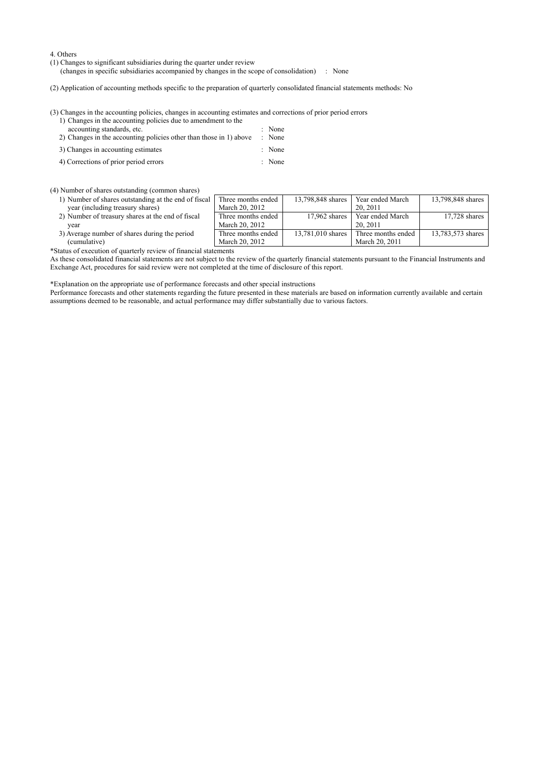4. Others

(1) Changes to significant subsidiaries during the quarter under review

(changes in specific subsidiaries accompanied by changes in the scope of consolidation) : None

(2) Application of accounting methods specific to the preparation of quarterly consolidated financial statements methods: No

(3) Changes in the accounting policies, changes in accounting estimates and corrections of prior period errors 1) Changes in the accounting policies due to amendment to the

- accounting standards, etc.  $\blacksquare$  : None 2) Changes in the accounting policies other than those in 1) above : None 3) Changes in accounting estimates : None
- 4) Corrections of prior period errors : None

(4) Number of shares outstanding (common shares)

- 1) Number of shares outstanding at the end of fiscal year (including treasury shares)
- 2) Number of treasury shares at the end of fiscal year 3) Average number of shares during the period
- (cumulative)

\*Status of execution of quarterly review of financial statements

As these consolidated financial statements are not subject to the review of the quarterly financial statements pursuant to the Financial Instruments and Exchange Act, procedures for said review were not completed at the time of disclosure of this report.

13,798,848 shares Year ended March

17,962 shares Year ended March 20, 2011

13,781,010 shares Three months ended

20, 2011

March 20, 2011

13,798,848 shares

13,783,573 shares

17,728 shares

Three months ended March 20, 2012

Three months ended March 20, 2012

Three months ended March 20, 2012

\*Explanation on the appropriate use of performance forecasts and other special instructions

Performance forecasts and other statements regarding the future presented in these materials are based on information currently available and certain assumptions deemed to be reasonable, and actual performance may differ substantially due to various factors.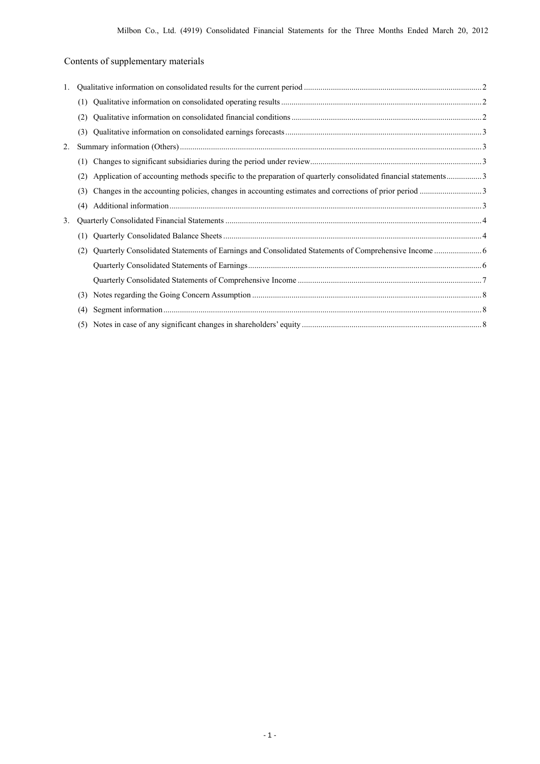# Contents of supplementary materials

| 1. |     |                                                                                                               |  |
|----|-----|---------------------------------------------------------------------------------------------------------------|--|
|    |     |                                                                                                               |  |
|    | (2) |                                                                                                               |  |
|    | (3) |                                                                                                               |  |
| 2. |     |                                                                                                               |  |
|    | (1) |                                                                                                               |  |
|    | (2) | Application of accounting methods specific to the preparation of quarterly consolidated financial statements3 |  |
|    | (3) |                                                                                                               |  |
|    | (4) |                                                                                                               |  |
| 3. |     |                                                                                                               |  |
|    | (1) |                                                                                                               |  |
|    | (2) |                                                                                                               |  |
|    |     |                                                                                                               |  |
|    |     |                                                                                                               |  |
|    | (3) |                                                                                                               |  |
|    | (4) |                                                                                                               |  |
|    | (5) |                                                                                                               |  |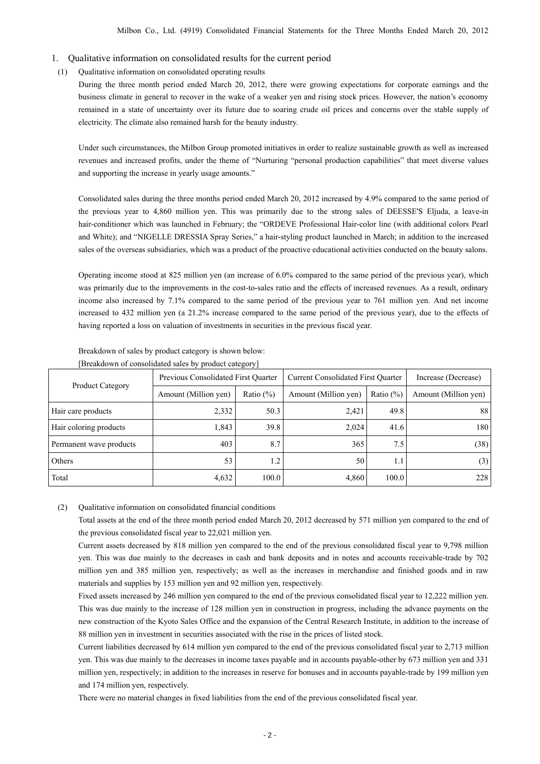- 1. Qualitative information on consolidated results for the current period
- (1) Qualitative information on consolidated operating results

During the three month period ended March 20, 2012, there were growing expectations for corporate earnings and the business climate in general to recover in the wake of a weaker yen and rising stock prices. However, the nation's economy remained in a state of uncertainty over its future due to soaring crude oil prices and concerns over the stable supply of electricity. The climate also remained harsh for the beauty industry.

Under such circumstances, the Milbon Group promoted initiatives in order to realize sustainable growth as well as increased revenues and increased profits, under the theme of "Nurturing "personal production capabilities" that meet diverse values and supporting the increase in yearly usage amounts."

Consolidated sales during the three months period ended March 20, 2012 increased by 4.9% compared to the same period of the previous year to 4,860 million yen. This was primarily due to the strong sales of DEESSE'S Eljuda, a leave-in hair-conditioner which was launched in February; the "ORDEVE Professional Hair-color line (with additional colors Pearl and White); and "NIGELLE DRESSIA Spray Series," a hair-styling product launched in March; in addition to the increased sales of the overseas subsidiaries, which was a product of the proactive educational activities conducted on the beauty salons.

Operating income stood at 825 million yen (an increase of 6.0% compared to the same period of the previous year), which was primarily due to the improvements in the cost-to-sales ratio and the effects of increased revenues. As a result, ordinary income also increased by 7.1% compared to the same period of the previous year to 761 million yen. And net income increased to 432 million yen (a 21.2% increase compared to the same period of the previous year), due to the effects of having reported a loss on valuation of investments in securities in the previous fiscal year.

|                         | Previous Consolidated First Quarter |              | <b>Current Consolidated First Quarter</b> | Increase (Decrease) |                      |
|-------------------------|-------------------------------------|--------------|-------------------------------------------|---------------------|----------------------|
| <b>Product Category</b> | Amount (Million yen)                | Ratio $(\%)$ | Amount (Million yen)                      | Ratio $(\% )$       | Amount (Million yen) |
| Hair care products      | 2,332                               | 50.3         | 2,421                                     | 49.8                | 88                   |
| Hair coloring products  | 1,843                               | 39.8         | 2,024                                     | 41.6                | 180                  |
| Permanent wave products | 403                                 | 8.7          | 365                                       | 7.5                 | (38)                 |
| Others                  | 53                                  | 1.2          | 50                                        | 1.1                 | (3)                  |
| Total                   | 4,632                               | 100.0        | 4,860                                     | 100.0               | 228                  |

#### Breakdown of sales by product category is shown below: [Breakdown of consolidated sales by product category]

#### (2) Qualitative information on consolidated financial conditions

Total assets at the end of the three month period ended March 20, 2012 decreased by 571 million yen compared to the end of the previous consolidated fiscal year to 22,021 million yen.

Current assets decreased by 818 million yen compared to the end of the previous consolidated fiscal year to 9,798 million yen. This was due mainly to the decreases in cash and bank deposits and in notes and accounts receivable-trade by 702 million yen and 385 million yen, respectively; as well as the increases in merchandise and finished goods and in raw materials and supplies by 153 million yen and 92 million yen, respectively.

Fixed assets increased by 246 million yen compared to the end of the previous consolidated fiscal year to 12,222 million yen. This was due mainly to the increase of 128 million yen in construction in progress, including the advance payments on the new construction of the Kyoto Sales Office and the expansion of the Central Research Institute, in addition to the increase of 88 million yen in investment in securities associated with the rise in the prices of listed stock.

Current liabilities decreased by 614 million yen compared to the end of the previous consolidated fiscal year to 2,713 million yen. This was due mainly to the decreases in income taxes payable and in accounts payable-other by 673 million yen and 331 million yen, respectively; in addition to the increases in reserve for bonuses and in accounts payable-trade by 199 million yen and 174 million yen, respectively.

There were no material changes in fixed liabilities from the end of the previous consolidated fiscal year.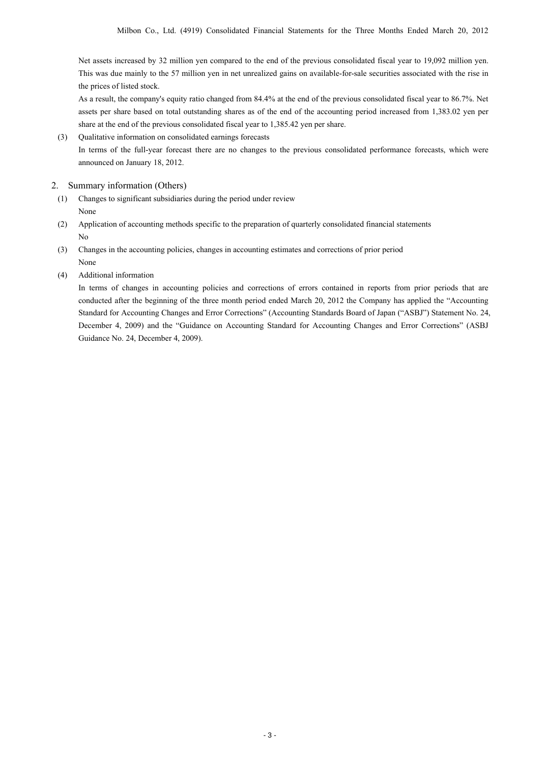Net assets increased by 32 million yen compared to the end of the previous consolidated fiscal year to 19,092 million yen. This was due mainly to the 57 million yen in net unrealized gains on available-for-sale securities associated with the rise in the prices of listed stock.

As a result, the company's equity ratio changed from 84.4% at the end of the previous consolidated fiscal year to 86.7%. Net assets per share based on total outstanding shares as of the end of the accounting period increased from 1,383.02 yen per share at the end of the previous consolidated fiscal year to 1,385.42 yen per share.

(3) Qualitative information on consolidated earnings forecasts

In terms of the full-year forecast there are no changes to the previous consolidated performance forecasts, which were announced on January 18, 2012.

#### 2. Summary information (Others)

- (1) Changes to significant subsidiaries during the period under review None
- (2) Application of accounting methods specific to the preparation of quarterly consolidated financial statements No
- (3) Changes in the accounting policies, changes in accounting estimates and corrections of prior period None
- (4) Additional information

In terms of changes in accounting policies and corrections of errors contained in reports from prior periods that are conducted after the beginning of the three month period ended March 20, 2012 the Company has applied the "Accounting Standard for Accounting Changes and Error Corrections" (Accounting Standards Board of Japan ("ASBJ") Statement No. 24, December 4, 2009) and the "Guidance on Accounting Standard for Accounting Changes and Error Corrections" (ASBJ Guidance No. 24, December 4, 2009).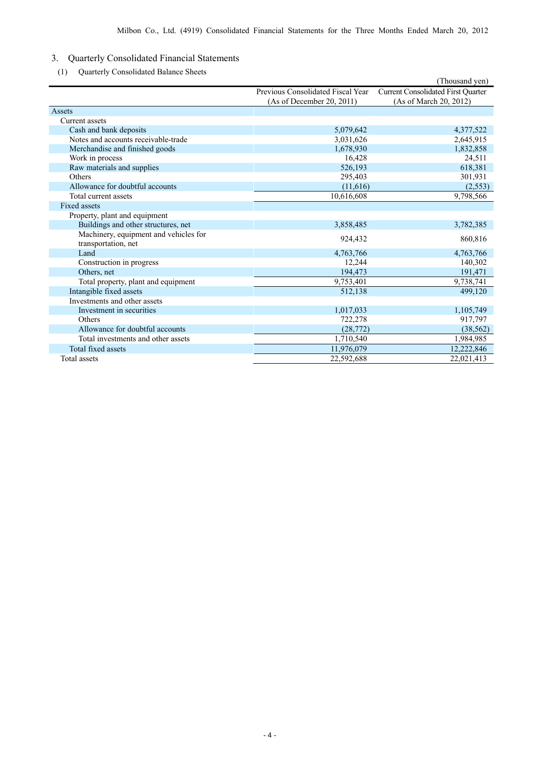## 3. Quarterly Consolidated Financial Statements

(1) Quarterly Consolidated Balance Sheets

| UD 1<br>Quarterly Consolidated Balance Sheets                |                                   | (Thousand yen)                            |
|--------------------------------------------------------------|-----------------------------------|-------------------------------------------|
|                                                              | Previous Consolidated Fiscal Year | <b>Current Consolidated First Quarter</b> |
|                                                              | (As of December 20, 2011)         | (As of March 20, 2012)                    |
| Assets                                                       |                                   |                                           |
| Current assets                                               |                                   |                                           |
| Cash and bank deposits                                       | 5,079,642                         | 4,377,522                                 |
| Notes and accounts receivable-trade                          | 3,031,626                         | 2,645,915                                 |
| Merchandise and finished goods                               | 1,678,930                         | 1,832,858                                 |
| Work in process                                              | 16,428                            | 24,511                                    |
| Raw materials and supplies                                   | 526,193                           | 618,381                                   |
| Others                                                       | 295,403                           | 301,931                                   |
| Allowance for doubtful accounts                              | (11,616)                          | (2, 553)                                  |
| Total current assets                                         | 10,616,608                        | 9,798,566                                 |
| Fixed assets                                                 |                                   |                                           |
| Property, plant and equipment                                |                                   |                                           |
| Buildings and other structures, net                          | 3,858,485                         | 3,782,385                                 |
| Machinery, equipment and vehicles for<br>transportation, net | 924,432                           | 860,816                                   |
| Land                                                         | 4,763,766                         | 4,763,766                                 |
| Construction in progress                                     | 12,244                            | 140,302                                   |
| Others, net                                                  | 194,473                           | 191,471                                   |
| Total property, plant and equipment                          | 9,753,401                         | 9,738,741                                 |
| Intangible fixed assets                                      | 512,138                           | 499,120                                   |
| Investments and other assets                                 |                                   |                                           |
| Investment in securities                                     | 1,017,033                         | 1,105,749                                 |
| Others                                                       | 722,278                           | 917,797                                   |
| Allowance for doubtful accounts                              | (28, 772)                         | (38, 562)                                 |
| Total investments and other assets                           | 1,710,540                         | 1,984,985                                 |
| Total fixed assets                                           | 11,976,079                        | 12,222,846                                |
| Total assets                                                 | 22,592,688                        | 22,021,413                                |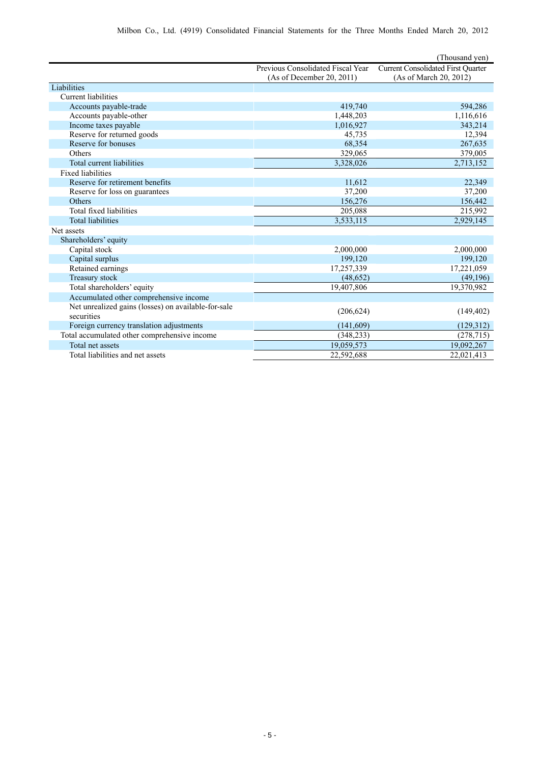|                                                     |                                   | (Thousand yen)                            |
|-----------------------------------------------------|-----------------------------------|-------------------------------------------|
|                                                     | Previous Consolidated Fiscal Year | <b>Current Consolidated First Quarter</b> |
|                                                     | (As of December 20, 2011)         | (As of March 20, 2012)                    |
| Liabilities                                         |                                   |                                           |
| <b>Current liabilities</b>                          |                                   |                                           |
| Accounts payable-trade                              | 419,740                           | 594,286                                   |
| Accounts payable-other                              | 1,448,203                         | 1,116,616                                 |
| Income taxes payable                                | 1,016,927                         | 343,214                                   |
| Reserve for returned goods                          | 45,735                            | 12,394                                    |
| Reserve for bonuses                                 | 68,354                            | 267,635                                   |
| Others                                              | 329,065                           | 379,005                                   |
| Total current liabilities                           | 3,328,026                         | 2,713,152                                 |
| <b>Fixed liabilities</b>                            |                                   |                                           |
| Reserve for retirement benefits                     | 11,612                            | 22,349                                    |
| Reserve for loss on guarantees                      | 37,200                            | 37,200                                    |
| <b>Others</b>                                       | 156,276                           | 156,442                                   |
| Total fixed liabilities                             | 205,088                           | 215,992                                   |
| <b>Total liabilities</b>                            | 3,533,115                         | 2,929,145                                 |
| Net assets                                          |                                   |                                           |
| Shareholders' equity                                |                                   |                                           |
| Capital stock                                       | 2,000,000                         | 2,000,000                                 |
| Capital surplus                                     | 199,120                           | 199,120                                   |
| Retained earnings                                   | 17,257,339                        | 17,221,059                                |
| Treasury stock                                      | (48, 652)                         | (49,196)                                  |
| Total shareholders' equity                          | 19,407,806                        | 19,370,982                                |
| Accumulated other comprehensive income              |                                   |                                           |
| Net unrealized gains (losses) on available-for-sale | (206, 624)                        | (149, 402)                                |
| securities                                          |                                   |                                           |
| Foreign currency translation adjustments            | (141,609)                         | (129,312)                                 |
| Total accumulated other comprehensive income        | (348, 233)                        | (278, 715)                                |
| Total net assets                                    | 19,059,573                        | 19,092,267                                |
| Total liabilities and net assets                    | 22,592,688                        | 22,021,413                                |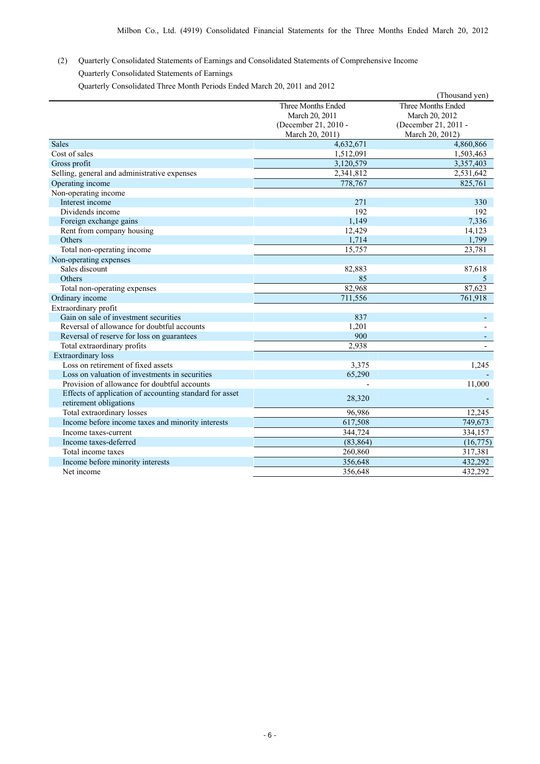(2) Quarterly Consolidated Statements of Earnings and Consolidated Statements of Comprehensive Income Quarterly Consolidated Statements of Earnings

Quarterly Consolidated Three Month Periods Ended March 20, 2011 and 2012

|                                                         |                      | (Thousand yen)           |
|---------------------------------------------------------|----------------------|--------------------------|
|                                                         | Three Months Ended   | Three Months Ended       |
|                                                         | March 20, 2011       | March 20, 2012           |
|                                                         | (December 21, 2010 - | (December 21, 2011 -     |
|                                                         | March 20, 2011)      | March 20, 2012)          |
| <b>Sales</b>                                            | 4,632,671            | 4,860,866                |
| Cost of sales                                           | 1,512,091            | 1,503,463                |
| Gross profit                                            | 3,120,579            | 3,357,403                |
| Selling, general and administrative expenses            | 2,341,812            | 2,531,642                |
| Operating income                                        | 778,767              | 825,761                  |
| Non-operating income                                    |                      |                          |
| Interest income                                         | 271                  | 330                      |
| Dividends income                                        | 192                  | 192                      |
| Foreign exchange gains                                  | 1.149                | 7,336                    |
| Rent from company housing                               | 12,429               | 14,123                   |
| <b>Others</b>                                           | 1,714                | 1,799                    |
| Total non-operating income                              | 15,757               | 23,781                   |
| Non-operating expenses                                  |                      |                          |
| Sales discount                                          | 82,883               | 87,618                   |
| <b>Others</b>                                           | 85                   | 5                        |
| Total non-operating expenses                            | 82,968               | 87,623                   |
| Ordinary income                                         | 711,556              | 761,918                  |
| Extraordinary profit                                    |                      |                          |
| Gain on sale of investment securities                   | 837                  |                          |
| Reversal of allowance for doubtful accounts             | 1,201                |                          |
| Reversal of reserve for loss on guarantees              | 900                  |                          |
| Total extraordinary profits                             | 2,938                | $\overline{\phantom{a}}$ |
| <b>Extraordinary</b> loss                               |                      |                          |
| Loss on retirement of fixed assets                      | 3,375                | 1,245                    |
| Loss on valuation of investments in securities          | 65,290               |                          |
| Provision of allowance for doubtful accounts            |                      | 11,000                   |
| Effects of application of accounting standard for asset | 28,320               |                          |
| retirement obligations                                  |                      |                          |
| Total extraordinary losses                              | 96,986               | 12,245                   |
| Income before income taxes and minority interests       | 617,508              | 749,673                  |
| Income taxes-current                                    | 344,724              | 334,157                  |
| Income taxes-deferred                                   | (83, 864)            | (16, 775)                |
| Total income taxes                                      | 260,860              | 317,381                  |
| Income before minority interests                        | 356,648              | 432,292                  |
| Net income                                              | 356,648              | 432,292                  |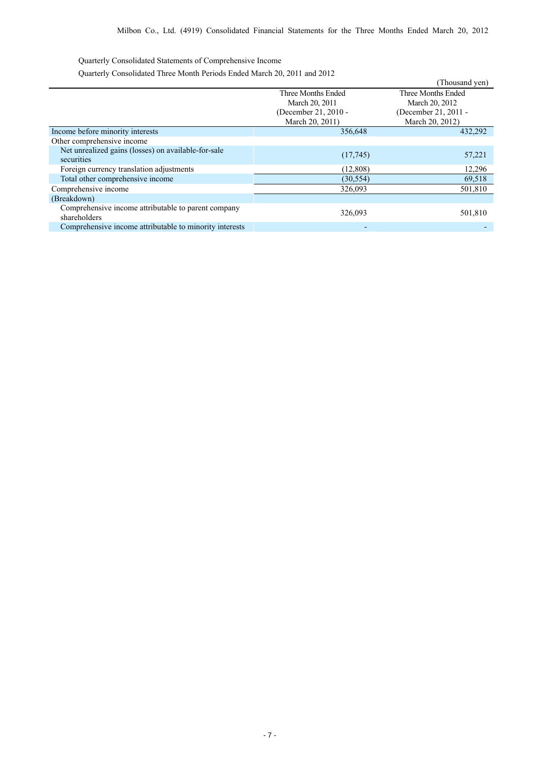Quarterly Consolidated Statements of Comprehensive Income

Quarterly Consolidated Three Month Periods Ended March 20, 2011 and 2012

|                                                                     |                                                                                 | (Thousand yen)                                                                  |
|---------------------------------------------------------------------|---------------------------------------------------------------------------------|---------------------------------------------------------------------------------|
|                                                                     | Three Months Ended<br>March 20, 2011<br>(December 21, 2010 -<br>March 20, 2011) | Three Months Ended<br>March 20, 2012<br>(December 21, 2011 -<br>March 20, 2012) |
| Income before minority interests                                    | 356,648                                                                         | 432,292                                                                         |
| Other comprehensive income                                          |                                                                                 |                                                                                 |
| Net unrealized gains (losses) on available-for-sale<br>securities   | (17,745)                                                                        | 57,221                                                                          |
| Foreign currency translation adjustments                            | (12,808)                                                                        | 12,296                                                                          |
| Total other comprehensive income                                    | (30, 554)                                                                       | 69,518                                                                          |
| Comprehensive income                                                | 326,093                                                                         | 501,810                                                                         |
| (Breakdown)                                                         |                                                                                 |                                                                                 |
| Comprehensive income attributable to parent company<br>shareholders | 326,093                                                                         | 501,810                                                                         |
| Comprehensive income attributable to minority interests             |                                                                                 |                                                                                 |